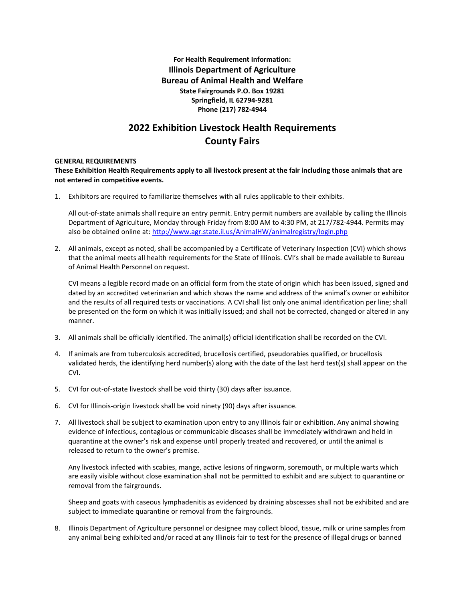**For Health Requirement Information: Illinois Department of Agriculture Bureau of Animal Health and Welfare State Fairgrounds P.O. Box 19281 Springfield, IL 62794-9281 Phone (217) 782-4944**

# **2022 Exhibition Livestock Health Requirements County Fairs**

## **GENERAL REQUIREMENTS**

**These Exhibition Health Requirements apply to all livestock present at the fair including those animals that are not entered in competitive events.**

1. Exhibitors are required to familiarize themselves with all rules applicable to their exhibits.

All out-of-state animals shall require an entry permit. Entry permit numbers are available by calling the Illinois Department of Agriculture, Monday through Friday from 8:00 AM to 4:30 PM, at 217/782-4944. Permits may also be obtained online at[: http://www.agr.state.il.us/AnimalHW/animalregistry/login.php](http://www.agr.state.il.us/AnimalHW/animalregistry/login.php)

2. All animals, except as noted, shall be accompanied by a Certificate of Veterinary Inspection (CVI) which shows that the animal meets all health requirements for the State of Illinois. CVI's shall be made available to Bureau of Animal Health Personnel on request.

CVI means a legible record made on an official form from the state of origin which has been issued, signed and dated by an accredited veterinarian and which shows the name and address of the animal's owner or exhibitor and the results of all required tests or vaccinations. A CVI shall list only one animal identification per line; shall be presented on the form on which it was initially issued; and shall not be corrected, changed or altered in any manner.

- 3. All animals shall be officially identified. The animal(s) official identification shall be recorded on the CVI.
- 4. If animals are from tuberculosis accredited, brucellosis certified, pseudorabies qualified, or brucellosis validated herds, the identifying herd number(s) along with the date of the last herd test(s) shall appear on the CVI.
- 5. CVI for out-of-state livestock shall be void thirty (30) days after issuance.
- 6. CVI for Illinois-origin livestock shall be void ninety (90) days after issuance.
- 7. All livestock shall be subject to examination upon entry to any Illinois fair or exhibition. Any animal showing evidence of infectious, contagious or communicable diseases shall be immediately withdrawn and held in quarantine at the owner's risk and expense until properly treated and recovered, or until the animal is released to return to the owner's premise.

Any livestock infected with scabies, mange, active lesions of ringworm, soremouth, or multiple warts which are easily visible without close examination shall not be permitted to exhibit and are subject to quarantine or removal from the fairgrounds.

Sheep and goats with caseous lymphadenitis as evidenced by draining abscesses shall not be exhibited and are subject to immediate quarantine or removal from the fairgrounds.

8. Illinois Department of Agriculture personnel or designee may collect blood, tissue, milk or urine samples from any animal being exhibited and/or raced at any Illinois fair to test for the presence of illegal drugs or banned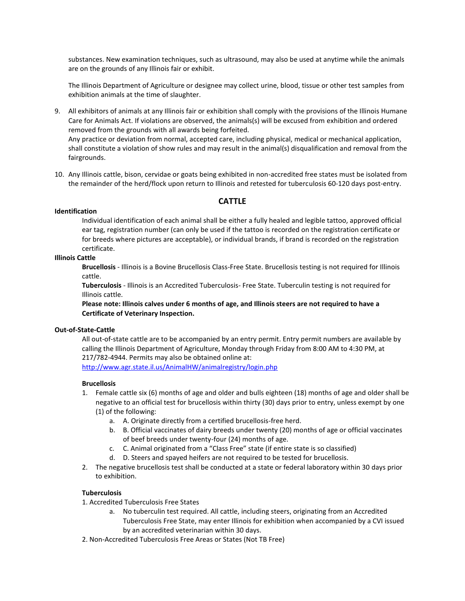substances. New examination techniques, such as ultrasound, may also be used at anytime while the animals are on the grounds of any Illinois fair or exhibit.

The Illinois Department of Agriculture or designee may collect urine, blood, tissue or other test samples from exhibition animals at the time of slaughter.

- 9. All exhibitors of animals at any Illinois fair or exhibition shall comply with the provisions of the Illinois Humane Care for Animals Act. If violations are observed, the animals(s) will be excused from exhibition and ordered removed from the grounds with all awards being forfeited. Any practice or deviation from normal, accepted care, including physical, medical or mechanical application, shall constitute a violation of show rules and may result in the animal(s) disqualification and removal from the fairgrounds.
- 10. Any Illinois cattle, bison, cervidae or goats being exhibited in non-accredited free states must be isolated from the remainder of the herd/flock upon return to Illinois and retested for tuberculosis 60-120 days post-entry.

# **CATTLE**

## **Identification**

Individual identification of each animal shall be either a fully healed and legible tattoo, approved official ear tag, registration number (can only be used if the tattoo is recorded on the registration certificate or for breeds where pictures are acceptable), or individual brands, if brand is recorded on the registration certificate.

# **Illinois Cattle**

**Brucellosis** - Illinois is a Bovine Brucellosis Class-Free State. Brucellosis testing is not required for Illinois cattle.

**Tuberculosis** - Illinois is an Accredited Tuberculosis- Free State. Tuberculin testing is not required for Illinois cattle.

**Please note: Illinois calves under 6 months of age, and Illinois steers are not required to have a Certificate of Veterinary Inspection.** 

## **Out-of-State-Cattle**

All out-of-state cattle are to be accompanied by an entry permit. Entry permit numbers are available by calling the Illinois Department of Agriculture, Monday through Friday from 8:00 AM to 4:30 PM, at 217/782-4944. Permits may also be obtained online at:

<http://www.agr.state.il.us/AnimalHW/animalregistry/login.php>

## **Brucellosis**

- 1. Female cattle six (6) months of age and older and bulls eighteen (18) months of age and older shall be negative to an official test for brucellosis within thirty (30) days prior to entry, unless exempt by one (1) of the following:
	- a. A. Originate directly from a certified brucellosis-free herd.
	- b. B. Official vaccinates of dairy breeds under twenty (20) months of age or official vaccinates of beef breeds under twenty-four (24) months of age.
	- c. C. Animal originated from a "Class Free" state (if entire state is so classified)
	- d. D. Steers and spayed heifers are not required to be tested for brucellosis.
- 2. The negative brucellosis test shall be conducted at a state or federal laboratory within 30 days prior to exhibition.

## **Tuberculosis**

- 1. Accredited Tuberculosis Free States
	- a. No tuberculin test required. All cattle, including steers, originating from an Accredited Tuberculosis Free State, may enter Illinois for exhibition when accompanied by a CVI issued by an accredited veterinarian within 30 days.
- 2. Non-Accredited Tuberculosis Free Areas or States (Not TB Free)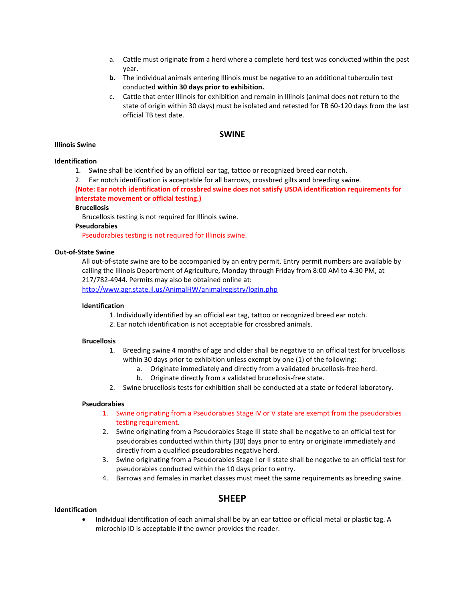- a. Cattle must originate from a herd where a complete herd test was conducted within the past year.
- **b.** The individual animals entering Illinois must be negative to an additional tuberculin test conducted **within 30 days prior to exhibition.**
- c. Cattle that enter Illinois for exhibition and remain in Illinois (animal does not return to the state of origin within 30 days) must be isolated and retested for TB 60-120 days from the last official TB test date.

# **SWINE**

## **Illinois Swine**

#### **Identification**

- 1. Swine shall be identified by an official ear tag, tattoo or recognized breed ear notch.
- 2. Ear notch identification is acceptable for all barrows, crossbred gilts and breeding swine.

**(Note: Ear notch identification of crossbred swine does not satisfy USDA identification requirements for interstate movement or official testing.)** 

### **Brucellosis**

Brucellosis testing is not required for Illinois swine.

#### **Pseudorabies**

Pseudorabies testing is not required for Illinois swine.

#### **Out-of-State Swine**

All out-of-state swine are to be accompanied by an entry permit. Entry permit numbers are available by calling the Illinois Department of Agriculture, Monday through Friday from 8:00 AM to 4:30 PM, at 217/782-4944. Permits may also be obtained online at:

<http://www.agr.state.il.us/AnimalHW/animalregistry/login.php>

#### **Identification**

- 1. Individually identified by an official ear tag, tattoo or recognized breed ear notch.
- 2. Ear notch identification is not acceptable for crossbred animals.

#### **Brucellosis**

- 1. Breeding swine 4 months of age and older shall be negative to an official test for brucellosis within 30 days prior to exhibition unless exempt by one (1) of the following:
	- a. Originate immediately and directly from a validated brucellosis-free herd.
	- b. Originate directly from a validated brucellosis-free state.
- 2. Swine brucellosis tests for exhibition shall be conducted at a state or federal laboratory.

#### **Pseudorabies**

- 1. Swine originating from a Pseudorabies Stage IV or V state are exempt from the pseudorabies testing requirement.
- 2. Swine originating from a Pseudorabies Stage III state shall be negative to an official test for pseudorabies conducted within thirty (30) days prior to entry or originate immediately and directly from a qualified pseudorabies negative herd.
- 3. Swine originating from a Pseudorabies Stage I or II state shall be negative to an official test for pseudorabies conducted within the 10 days prior to entry.
- 4. Barrows and females in market classes must meet the same requirements as breeding swine.

# **SHEEP**

# **Identification**

• Individual identification of each animal shall be by an ear tattoo or official metal or plastic tag. A microchip ID is acceptable if the owner provides the reader.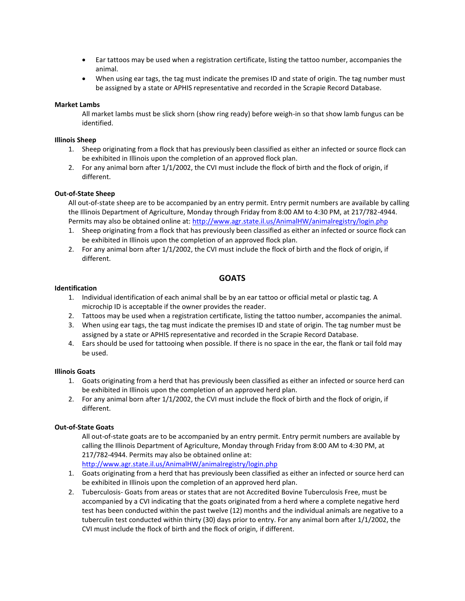- Ear tattoos may be used when a registration certificate, listing the tattoo number, accompanies the animal.
- When using ear tags, the tag must indicate the premises ID and state of origin. The tag number must be assigned by a state or APHIS representative and recorded in the Scrapie Record Database.

# **Market Lambs**

All market lambs must be slick shorn (show ring ready) before weigh-in so that show lamb fungus can be identified.

## **Illinois Sheep**

- 1. Sheep originating from a flock that has previously been classified as either an infected or source flock can be exhibited in Illinois upon the completion of an approved flock plan.
- 2. For any animal born after 1/1/2002, the CVI must include the flock of birth and the flock of origin, if different.

# **Out-of-State Sheep**

All out-of-state sheep are to be accompanied by an entry permit. Entry permit numbers are available by calling the Illinois Department of Agriculture, Monday through Friday from 8:00 AM to 4:30 PM, at 217/782-4944. Permits may also be obtained online at[: http://www.agr.state.il.us/AnimalHW/animalregistry/login.php](http://www.agr.state.il.us/AnimalHW/animalregistry/login.php)

- 1. Sheep originating from a flock that has previously been classified as either an infected or source flock can be exhibited in Illinois upon the completion of an approved flock plan.
- 2. For any animal born after 1/1/2002, the CVI must include the flock of birth and the flock of origin, if different.

# **GOATS**

## **Identification**

- 1. Individual identification of each animal shall be by an ear tattoo or official metal or plastic tag. A microchip ID is acceptable if the owner provides the reader.
- 2. Tattoos may be used when a registration certificate, listing the tattoo number, accompanies the animal.
- 3. When using ear tags, the tag must indicate the premises ID and state of origin. The tag number must be assigned by a state or APHIS representative and recorded in the Scrapie Record Database.
- 4. Ears should be used for tattooing when possible. If there is no space in the ear, the flank or tail fold may be used.

# **Illinois Goats**

- 1. Goats originating from a herd that has previously been classified as either an infected or source herd can be exhibited in Illinois upon the completion of an approved herd plan.
- 2. For any animal born after 1/1/2002, the CVI must include the flock of birth and the flock of origin, if different.

# **Out-of-State Goats**

All out-of-state goats are to be accompanied by an entry permit. Entry permit numbers are available by calling the Illinois Department of Agriculture, Monday through Friday from 8:00 AM to 4:30 PM, at 217/782-4944. Permits may also be obtained online at:

<http://www.agr.state.il.us/AnimalHW/animalregistry/login.php>

- 1. Goats originating from a herd that has previously been classified as either an infected or source herd can be exhibited in Illinois upon the completion of an approved herd plan.
- 2. Tuberculosis- Goats from areas or states that are not Accredited Bovine Tuberculosis Free, must be accompanied by a CVI indicating that the goats originated from a herd where a complete negative herd test has been conducted within the past twelve (12) months and the individual animals are negative to a tuberculin test conducted within thirty (30) days prior to entry. For any animal born after 1/1/2002, the CVI must include the flock of birth and the flock of origin, if different.